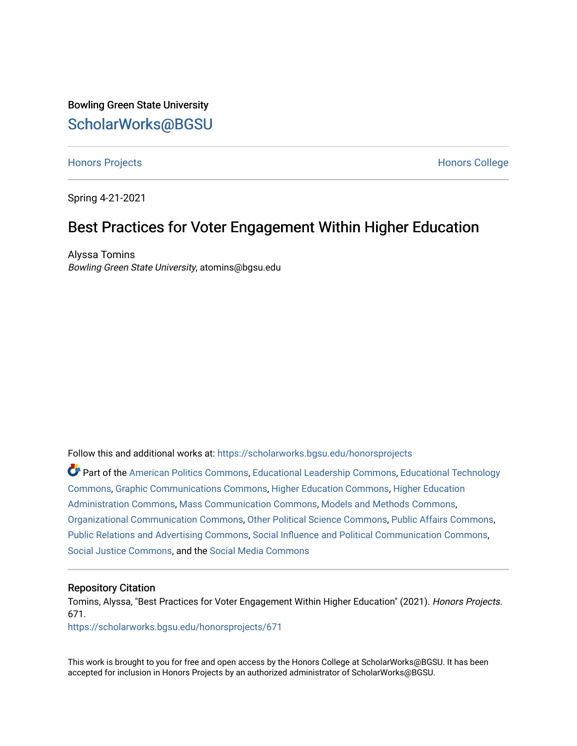Bowling Green State University [ScholarWorks@BGSU](https://scholarworks.bgsu.edu/) 

#### [Honors Projects](https://scholarworks.bgsu.edu/honorsprojects) **Honors** College **Honors** College

Spring 4-21-2021

#### Best Practices for Voter Engagement Within Higher Education

Alyssa Tomins Bowling Green State University, atomins@bgsu.edu

Follow this and additional works at: [https://scholarworks.bgsu.edu/honorsprojects](https://scholarworks.bgsu.edu/honorsprojects?utm_source=scholarworks.bgsu.edu%2Fhonorsprojects%2F671&utm_medium=PDF&utm_campaign=PDFCoverPages) 

Part of the [American Politics Commons,](http://network.bepress.com/hgg/discipline/387?utm_source=scholarworks.bgsu.edu%2Fhonorsprojects%2F671&utm_medium=PDF&utm_campaign=PDFCoverPages) [Educational Leadership Commons,](http://network.bepress.com/hgg/discipline/1230?utm_source=scholarworks.bgsu.edu%2Fhonorsprojects%2F671&utm_medium=PDF&utm_campaign=PDFCoverPages) [Educational Technology](http://network.bepress.com/hgg/discipline/1415?utm_source=scholarworks.bgsu.edu%2Fhonorsprojects%2F671&utm_medium=PDF&utm_campaign=PDFCoverPages)  [Commons](http://network.bepress.com/hgg/discipline/1415?utm_source=scholarworks.bgsu.edu%2Fhonorsprojects%2F671&utm_medium=PDF&utm_campaign=PDFCoverPages), [Graphic Communications Commons,](http://network.bepress.com/hgg/discipline/1052?utm_source=scholarworks.bgsu.edu%2Fhonorsprojects%2F671&utm_medium=PDF&utm_campaign=PDFCoverPages) [Higher Education Commons,](http://network.bepress.com/hgg/discipline/1245?utm_source=scholarworks.bgsu.edu%2Fhonorsprojects%2F671&utm_medium=PDF&utm_campaign=PDFCoverPages) [Higher Education](http://network.bepress.com/hgg/discipline/791?utm_source=scholarworks.bgsu.edu%2Fhonorsprojects%2F671&utm_medium=PDF&utm_campaign=PDFCoverPages)  [Administration Commons,](http://network.bepress.com/hgg/discipline/791?utm_source=scholarworks.bgsu.edu%2Fhonorsprojects%2F671&utm_medium=PDF&utm_campaign=PDFCoverPages) [Mass Communication Commons,](http://network.bepress.com/hgg/discipline/334?utm_source=scholarworks.bgsu.edu%2Fhonorsprojects%2F671&utm_medium=PDF&utm_campaign=PDFCoverPages) [Models and Methods Commons](http://network.bepress.com/hgg/discipline/390?utm_source=scholarworks.bgsu.edu%2Fhonorsprojects%2F671&utm_medium=PDF&utm_campaign=PDFCoverPages), [Organizational Communication Commons](http://network.bepress.com/hgg/discipline/335?utm_source=scholarworks.bgsu.edu%2Fhonorsprojects%2F671&utm_medium=PDF&utm_campaign=PDFCoverPages), [Other Political Science Commons](http://network.bepress.com/hgg/discipline/392?utm_source=scholarworks.bgsu.edu%2Fhonorsprojects%2F671&utm_medium=PDF&utm_campaign=PDFCoverPages), [Public Affairs Commons,](http://network.bepress.com/hgg/discipline/399?utm_source=scholarworks.bgsu.edu%2Fhonorsprojects%2F671&utm_medium=PDF&utm_campaign=PDFCoverPages) [Public Relations and Advertising Commons,](http://network.bepress.com/hgg/discipline/336?utm_source=scholarworks.bgsu.edu%2Fhonorsprojects%2F671&utm_medium=PDF&utm_campaign=PDFCoverPages) [Social Influence and Political Communication Commons,](http://network.bepress.com/hgg/discipline/337?utm_source=scholarworks.bgsu.edu%2Fhonorsprojects%2F671&utm_medium=PDF&utm_campaign=PDFCoverPages) [Social Justice Commons,](http://network.bepress.com/hgg/discipline/1432?utm_source=scholarworks.bgsu.edu%2Fhonorsprojects%2F671&utm_medium=PDF&utm_campaign=PDFCoverPages) and the [Social Media Commons](http://network.bepress.com/hgg/discipline/1249?utm_source=scholarworks.bgsu.edu%2Fhonorsprojects%2F671&utm_medium=PDF&utm_campaign=PDFCoverPages)

#### Repository Citation

Tomins, Alyssa, "Best Practices for Voter Engagement Within Higher Education" (2021). Honors Projects. 671.

[https://scholarworks.bgsu.edu/honorsprojects/671](https://scholarworks.bgsu.edu/honorsprojects/671?utm_source=scholarworks.bgsu.edu%2Fhonorsprojects%2F671&utm_medium=PDF&utm_campaign=PDFCoverPages) 

This work is brought to you for free and open access by the Honors College at ScholarWorks@BGSU. It has been accepted for inclusion in Honors Projects by an authorized administrator of ScholarWorks@BGSU.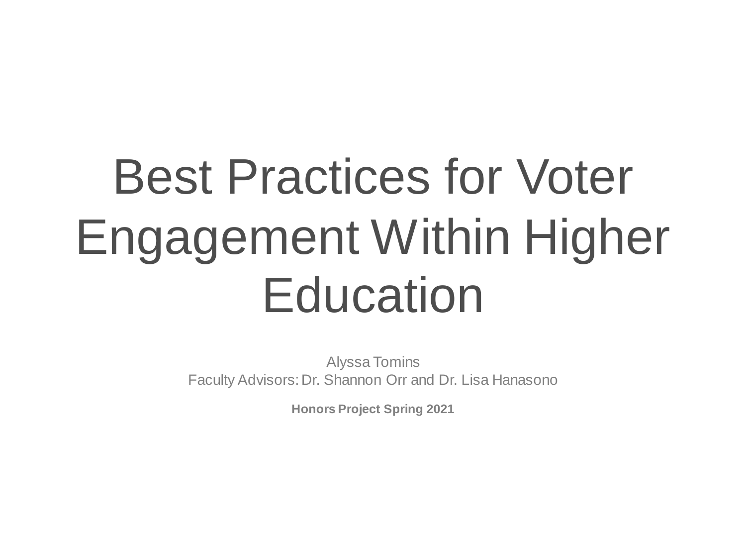# Best Practices for Voter Engagement Within Higher **Education**

Alyssa Tomins Faculty Advisors: Dr. Shannon Orr and Dr. Lisa Hanasono

**Honors Project Spring 2021**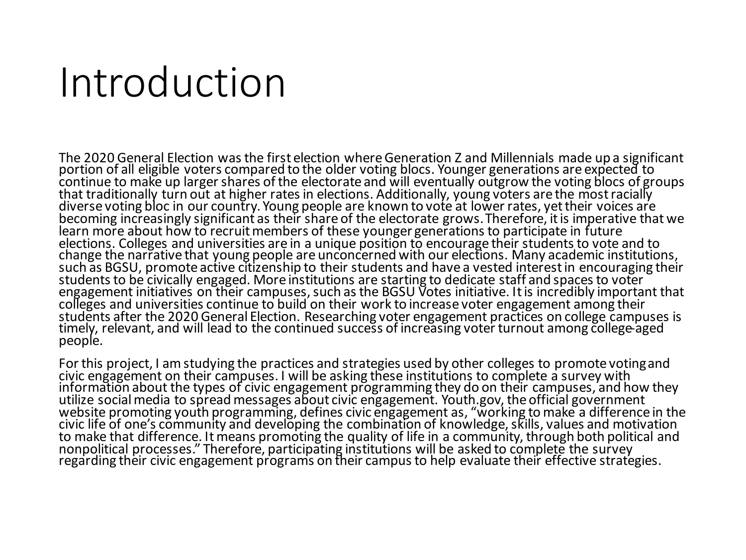#### Introduction

The 2020 General Election was the first election where Generation Z and Millennials made up a significant portion of all eligible voters compared to the older voting blocs. Younger generations are expected to continue to make up larger shares of the electorate and will eventually outgrow the voting blocs of groups that traditionally turn out at higher rates in elections. Additionally, young voters are the most racially diverse voting bloc in our country. Young people are known to vote at lower rates, yet their voices are becoming increasingly significant as their share of the electorate grows.Therefore, it is imperative that we learn more about how to recruit members of these younger generations to participate in future elections. Colleges and universities are in a unique position to encourage their students to vote and to change the narrative that young people are unconcerned with our elections. Many academic institutions, such as BGSU, promote active citizenship to their students and have a vested interest in encouraging their students to be civically engaged. More institutions are starting to dedicate staff and spaces to voter engagement initiatives on their campuses, such as the BGSU Votes initiative. It is incredibly important that colleges and universities continue to build on their work to increase voter engagement among their students after the 2020 General Election. Researching voter engagement practices on college campuses is timely, relevant, and will lead to the continued success of increasing voter turnout among college-aged people.

For this project, I am studying the practices and strategies used by other colleges to promote voting and civic engagement on their campuses. I will be asking these institutions to complete a survey with information about the types of civic engagement programming they do on their campuses, and how they utilize social media to spread messages about civic engagement. Youth.gov, the official government website promoting youth programming, defines civic engagement as, "working to make a difference in the civic life of one's community and developing the combination of knowledge, skills, values and motivation to make that difference. It means promoting the quality of life in a community, through both political and nonpolitical processes." Therefore, participating institutions will be asked to complete the survey regarding their civic engagement programs on their campus to help evaluate their effective strategies.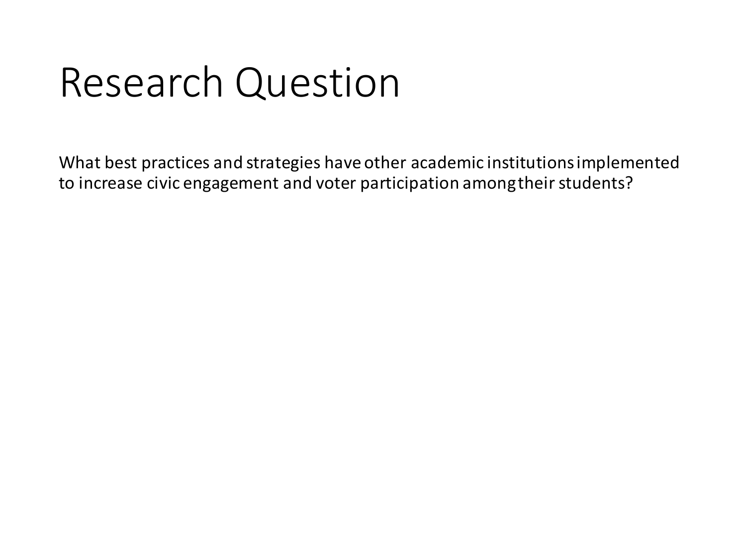## Research Question

What best practices and strategies have other academic institutions implemented to increase civic engagement and voter participation among their students?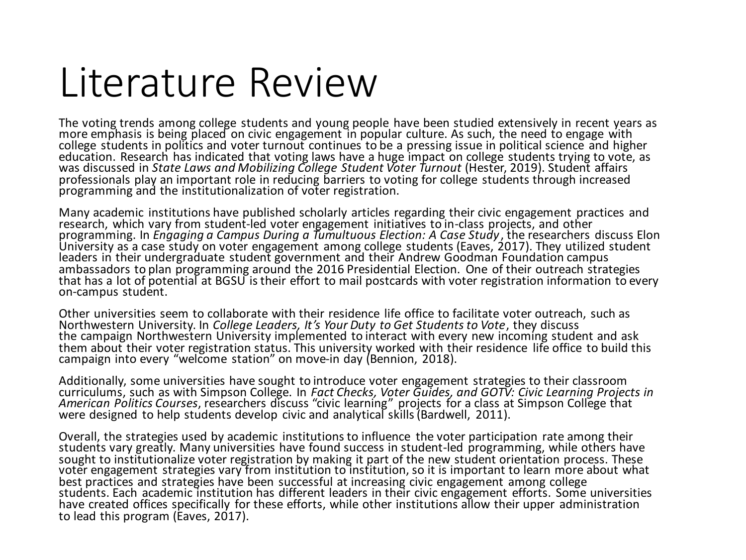#### Literature Review

The voting trends among college students and young people have been studied extensively in recent years as more emphasis is being placed on civic engagement in popular culture. As such, the need to engage with college students in politics and voter turnout continues to be a pressing issue in political science and higher education. Research has indicated that voting laws have a huge impact on college students trying to vote, as was discussed in *State Laws and Mobilizing College Student Voter Turnout* (Hester, 2019). Student affairs professionals play an important role in reducing barriers to voting for college students through increased programming and the institutionalization of voter registration.

Many academic institutions have published scholarly articles regarding their civic engagement practices and research, which vary from student-led voter engagement initiatives to in-class projects, and other programming. In *Engaging a Campus During a Tumultuous Election: A Case Study*, the researchers discuss Elon University as a case study on voter engagement among college students (Eaves, 2017). They utilized student leaders in their undergraduate student government and their Andrew Goodman Foundation campus ambassadors to plan programming around the 2016 Presidential Election. One of their outreach strategies that has a lot of potential at BGSU is their effort to mail postcards with voter registration information to every on-campus student.

Other universities seem to collaborate with their residence life office to facilitate voter outreach, such as Northwestern University. In *College Leaders, It's Your Duty to Get Students to Vote*, they discuss the campaign Northwestern University implemented to interact with every new incoming student and ask them about their voter registration status. This university worked with their residence life office to build this campaign into every "welcome station" on move-in day (Bennion, 2018).

Additionally, some universities have sought to introduce voter engagement strategies to their classroom curriculums, such as with Simpson College. In *Fact Checks, Voter Guides, and GOTV: Civic Learning Projects in American Politics Courses*, researchers discuss "civic learning" projects for a class at Simpson College that were designed to help students develop civic and analytical skills(Bardwell, 2011).

Overall, the strategies used by academic institutions to influence the voter participation rate among their students vary greatly. Many universities have found success in student-led programming, while others have sought to institutionalize voter registration by making it part of the new student orientation process. These voter engagement strategies vary from institution to institution, so it is important to learn more about what best practices and strategies have been successful at increasing civic engagement among college students. Each academic institution has different leaders in their civic engagement efforts. Some universities have created offices specifically for these efforts, while other institutions allow their upper administration to lead this program (Eaves, 2017).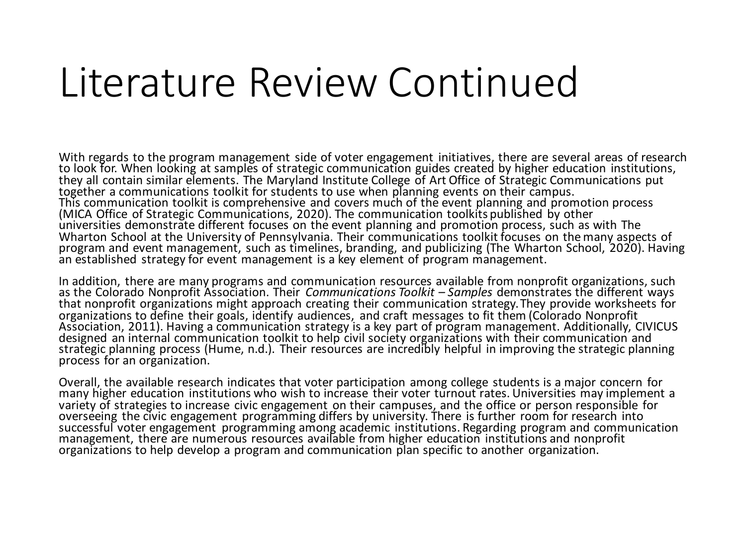#### Literature Review Continued

With regards to the program management side of voter engagement initiatives, there are several areas of research to look for. When looking at samples of strategic communication guides created by higher education institutions, they all contain similar elements. The Maryland Institute College of Art Office of Strategic Communications put together a communications toolkit for students to use when planning events on their campus. This communication toolkit is comprehensive and covers much of the event planning and promotion process (MICA Office of Strategic Communications, 2020). The communication toolkits published by other universities demonstrate different focuses on the event planning and promotion process, such as with The Wharton School at the University of Pennsylvania. Their communications toolkit focuses on the many aspects of program and event management, such as timelines, branding, and publicizing (The Wharton School, 2020). Having an established strategy for event management is a key element of program management.

In addition, there are many programs and communication resources available from nonprofit organizations, such as the Colorado Nonprofit Association. Their *Communications Toolkit – Samples* demonstrates the different ways that nonprofit organizations might approach creating their communication strategy.They provide worksheets for organizations to define their goals, identify audiences, and craft messages to fit them (Colorado Nonprofit Association, 2011). Having a communication strategy is a key part of program management. Additionally, CIVICUS designed an internal communication toolkit to help civil society organizations with their communication and strategic planning process (Hume, n.d.). Their resources are incredibly helpful in improving the strategic planning process for an organization.

Overall, the available research indicates that voter participation among college students is a major concern for many higher education institutions who wish to increase their voter turnout rates. Universities may implement a variety of strategies to increase civic engagement on their campuses, and the office or person responsible for overseeing the civic engagement programming differs by university. There is further room for research into successful voter engagement programming among academic institutions. Regarding program and communication management, there are numerous resources available from higher education institutions and nonprofit organizations to help develop a program and communication plan specific to another organization.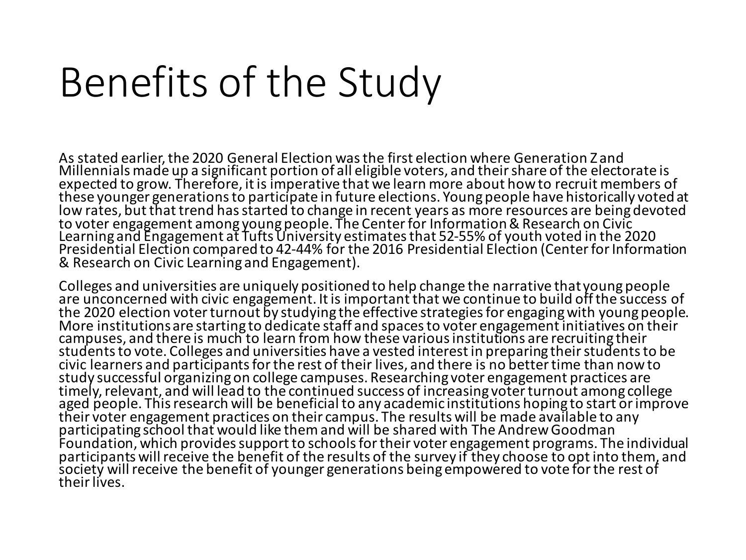## Benefits of the Study

As stated earlier, the 2020 General Election was the first election where Generation Z and Millennials made up a significant portion of all eligible voters, and their share of the electorate is expected to grow. Therefore, it is imperative that we learn more about how to recruit members of these younger generations to participate in future elections. Young people have historically voted at low rates, but that trend has started to change in recent years as more resources are being devoted to voter engagement among young people. The Center for Information & Research on Civic Learning and Engagement at Tufts University estimates that 52-55% of youth voted in the 2020 Presidential Election compared to 42-44% for the 2016 Presidential Election (Center for Information & Research on Civic Learning and Engagement).

Colleges and universities are uniquely positioned to help change the narrative that young people are unconcerned with civic engagement. It is important that we continue to build off the success of the 2020 election voter turnout by studying the effective strategies for engaging with young people. More institutions are starting to dedicate staff and spaces to voter engagement initiatives on their campuses, and there is much to learn from how these various institutions are recruiting their students to vote. Colleges and universities have a vested interest in preparing their students to be civic learners and participants for the rest of their lives, and there is no better time than now to study successful organizing on college campuses. Researching voter engagement practices are timely, relevant, and will lead to the continued success of increasing voter turnout among college aged people. This research will be beneficial to any academic institutions hoping to start or improve their voter engagement practices on their campus. The results will be made available to any participating school that would like them and will be shared with The Andrew Goodman Foundation, which provides support to schools for their voter engagement programs. The individual participants will receive the benefit of the results of the survey if they choose to opt into them, and society will receive the benefit of younger generations being empowered to vote for the rest of their lives.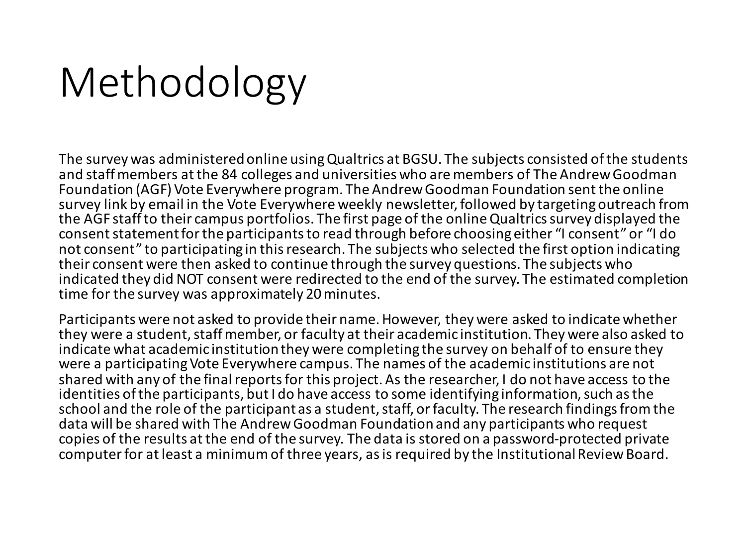# Methodology

The survey was administered online using Qualtrics at BGSU. The subjects consisted of the students and staff members at the 84 colleges and universities who are members of The Andrew Goodman Foundation (AGF) Vote Everywhere program. The Andrew Goodman Foundation sent the online survey link by email in the Vote Everywhere weekly newsletter, followed by targeting outreach from the AGF staff to their campus portfolios. The first page of the online Qualtrics survey displayed the consent statement for the participants to read through before choosing either "I consent" or "I do not consent" to participating in this research. The subjects who selected the first option indicating their consent were then asked to continue through the survey questions. The subjects who indicated they did NOT consent were redirected to the end of the survey. The estimated completion time for the survey was approximately 20 minutes.

Participants were not asked to provide their name. However, they were asked to indicate whether they were a student, staff member, or faculty at their academic institution. They were also asked to indicate what academic institution they were completing the survey on behalf of to ensure they were a participating Vote Everywhere campus. The names of the academic institutions are not shared with any of the final reports for this project. As the researcher, I do not have access to the identities of the participants, but I do have access to some identifying information, such as the school and the role of the participant as a student, staff, or faculty. The research findings from the data will be shared with The Andrew Goodman Foundation and any participants who request copies of the results at the end of the survey. The data is stored on a password-protected private computer for at least a minimum of three years, as is required by the Institutional Review Board.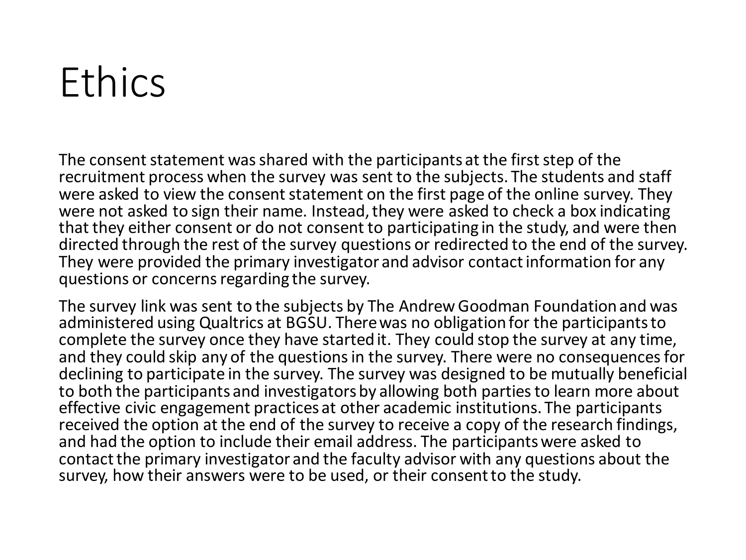## Ethics

The consent statement was shared with the participants at the first step of the recruitment process when the survey was sent to the subjects. The students and staff were asked to view the consent statement on the first page of the online survey. They were not asked to sign their name. Instead, they were asked to check a box indicating that they either consent or do not consent to participating in the study, and were then directed through the rest of the survey questions or redirected to the end of the survey. They were provided the primary investigator and advisor contact information for any questions or concerns regarding the survey.

The survey link was sent to the subjects by The Andrew Goodman Foundation and was administered using Qualtrics at BGSU. There was no obligation for the participants to complete the survey once they have started it. They could stop the survey at any time, and they could skip any of the questions in the survey. There were no consequences for declining to participate in the survey. The survey was designed to be mutually beneficial to both the participants and investigators by allowing both parties to learn more about effective civic engagement practices at other academic institutions. The participants received the option at the end of the survey to receive a copy of the research findings, and had the option to include their email address. The participants were asked to contact the primary investigator and the faculty advisor with any questions about the survey, how their answers were to be used, or their consent to the study.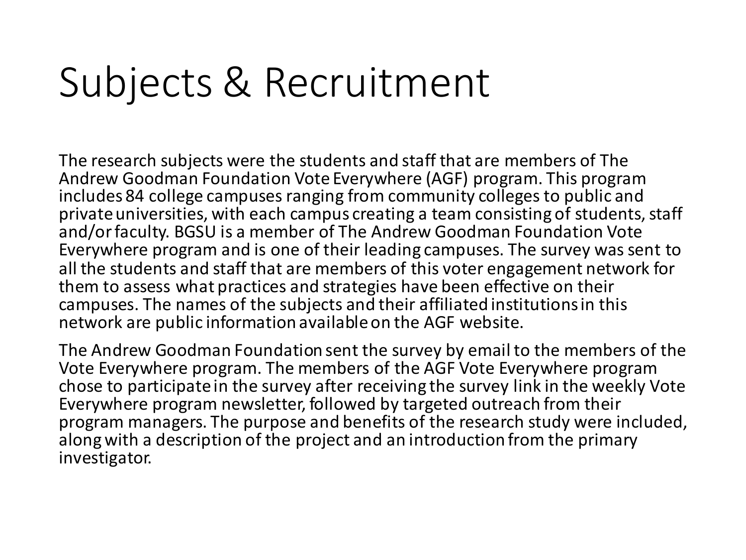## Subjects & Recruitment

The research subjects were the students and staff that are members of The Andrew Goodman Foundation Vote Everywhere (AGF) program. This program includes 84 college campuses ranging from community colleges to public and private universities, with each campus creating a team consisting of students, staff and/or faculty. BGSU is a member of The Andrew Goodman Foundation Vote Everywhere program and is one of their leading campuses. The survey was sent to all the students and staff that are members of this voter engagement network for them to assess what practices and strategies have been effective on their campuses. The names of the subjects and their affiliated institutions in this network are public information available on the AGF website.

The Andrew Goodman Foundation sent the survey by email to the members of the Vote Everywhere program. The members of the AGF Vote Everywhere program chose to participate in the survey after receiving the survey link in the weekly Vote Everywhere program newsletter, followed by targeted outreach from their program managers. The purpose and benefits of the research study were included, along with a description of the project and an introduction from the primary investigator.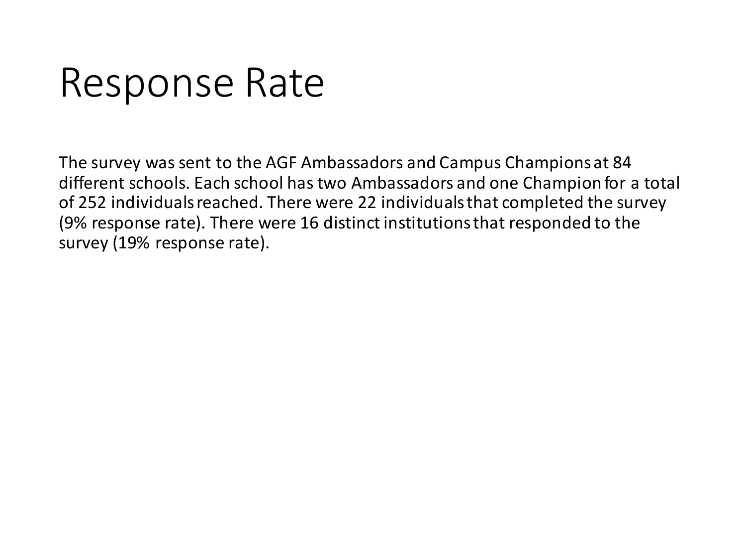#### Response Rate

The survey was sent to the AGF Ambassadors and Campus Champions at 84 different schools. Each school has two Ambassadors and one Champion for a total of 252 individuals reached. There were 22 individuals that completed the survey (9% response rate). There were 16 distinct institutions that responded to the survey (19% response rate).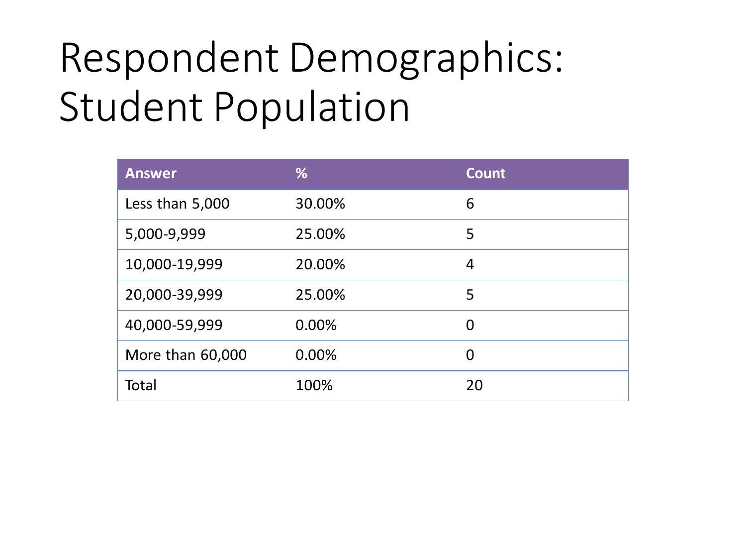# Respondent Demographics: Student Population

| <b>Answer</b>    | %      | <b>Count</b> |
|------------------|--------|--------------|
| Less than 5,000  | 30.00% | 6            |
| 5,000-9,999      | 25.00% | 5            |
| 10,000-19,999    | 20.00% | 4            |
| 20,000-39,999    | 25.00% | 5            |
| 40,000-59,999    | 0.00%  | $\Omega$     |
| More than 60,000 | 0.00%  | $\Omega$     |
| Total            | 100%   | 20           |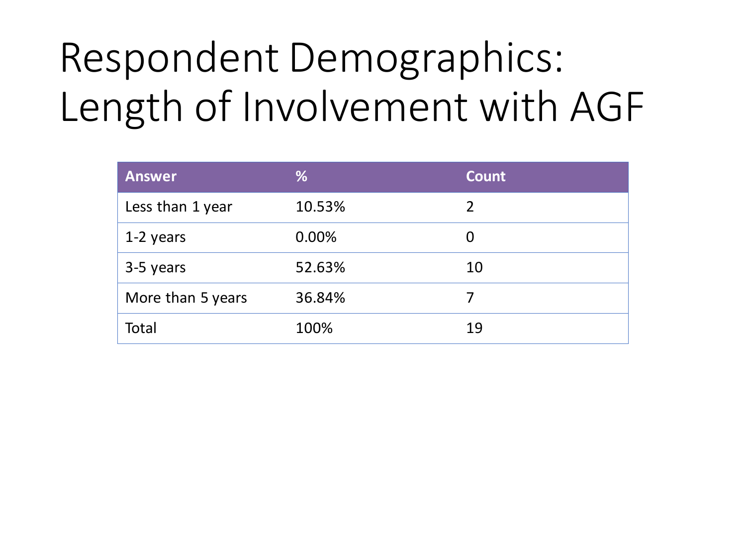# Respondent Demographics: Length of Involvement with AGF

| <b>Answer</b>     | %      | <b>Count</b> |
|-------------------|--------|--------------|
| Less than 1 year  | 10.53% | 2            |
| 1-2 years         | 0.00%  | 0            |
| 3-5 years         | 52.63% | 10           |
| More than 5 years | 36.84% |              |
| Total             | 100%   | 19           |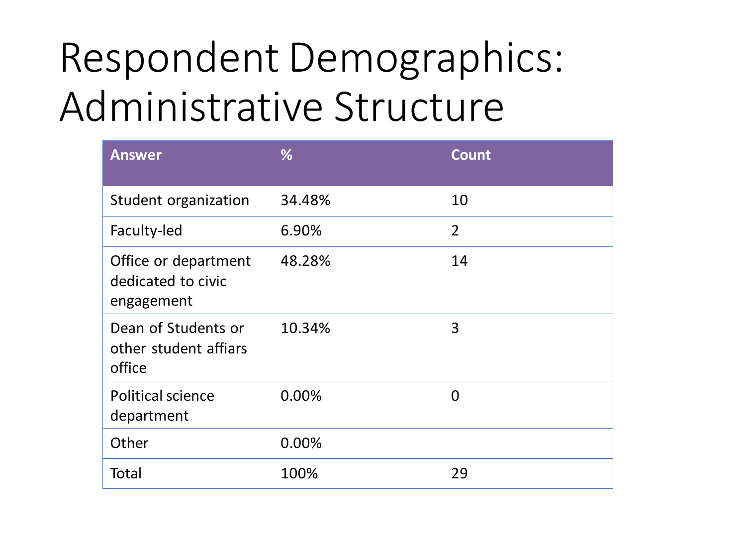# Respondent Demographics: Administrative Structure

| <b>Answer</b>                                            | %      | <b>Count</b>   |
|----------------------------------------------------------|--------|----------------|
| Student organization                                     | 34.48% | 10             |
| Faculty-led                                              | 6.90%  | $\overline{2}$ |
| Office or department<br>dedicated to civic<br>engagement | 48.28% | 14             |
| Dean of Students or<br>other student affiars<br>office   | 10.34% | 3              |
| <b>Political science</b><br>department                   | 0.00%  | $\Omega$       |
| Other                                                    | 0.00%  |                |
| Total                                                    | 100%   | 29             |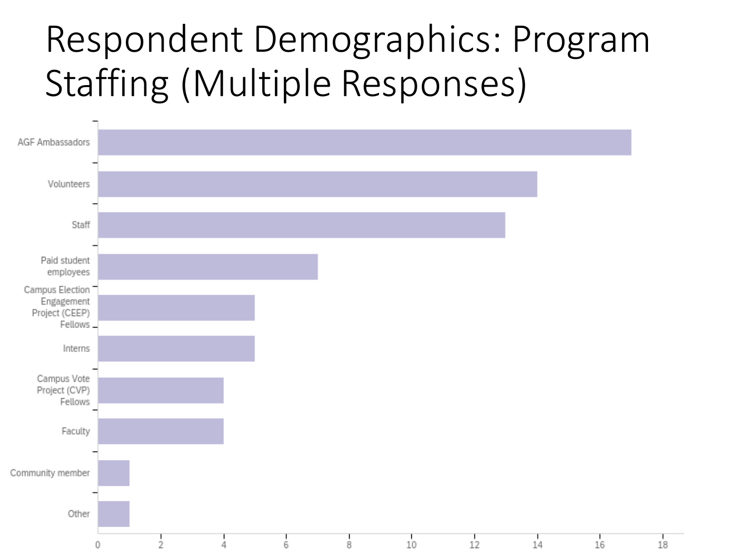#### Respondent Demographics: Program Staffing (Multiple Responses)

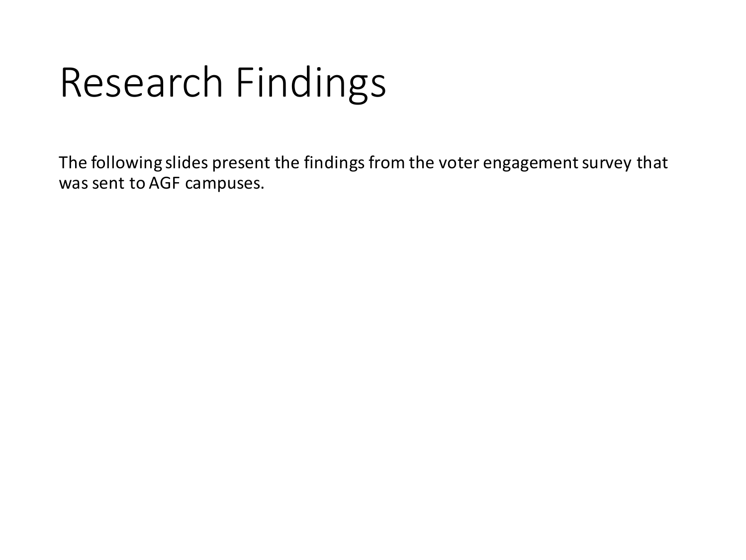## Research Findings

The following slides present the findings from the voter engagement survey that was sent to AGF campuses.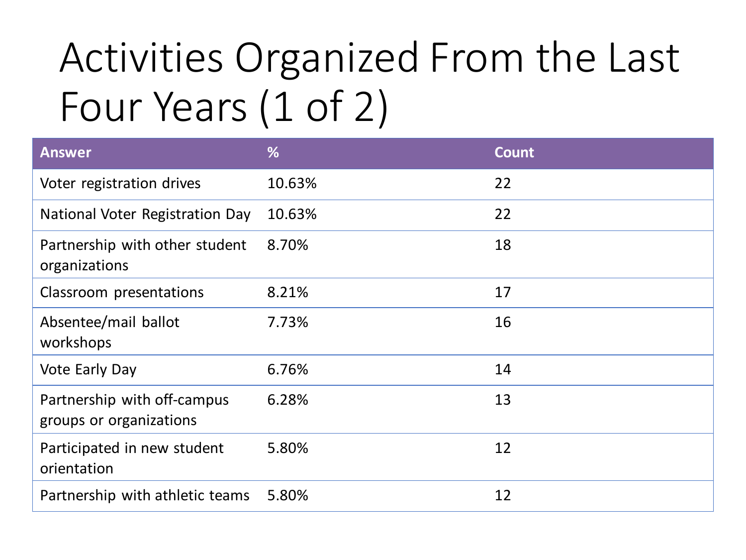# Activities Organized From the Last Four Years (1 of 2)

| <b>Answer</b>                                          | %      | <b>Count</b> |
|--------------------------------------------------------|--------|--------------|
| Voter registration drives                              | 10.63% | 22           |
| National Voter Registration Day                        | 10.63% | 22           |
| Partnership with other student<br>organizations        | 8.70%  | 18           |
| Classroom presentations                                | 8.21%  | 17           |
| Absentee/mail ballot<br>workshops                      | 7.73%  | 16           |
| <b>Vote Early Day</b>                                  | 6.76%  | 14           |
| Partnership with off-campus<br>groups or organizations | 6.28%  | 13           |
| Participated in new student<br>orientation             | 5.80%  | 12           |
| Partnership with athletic teams                        | 5.80%  | 12           |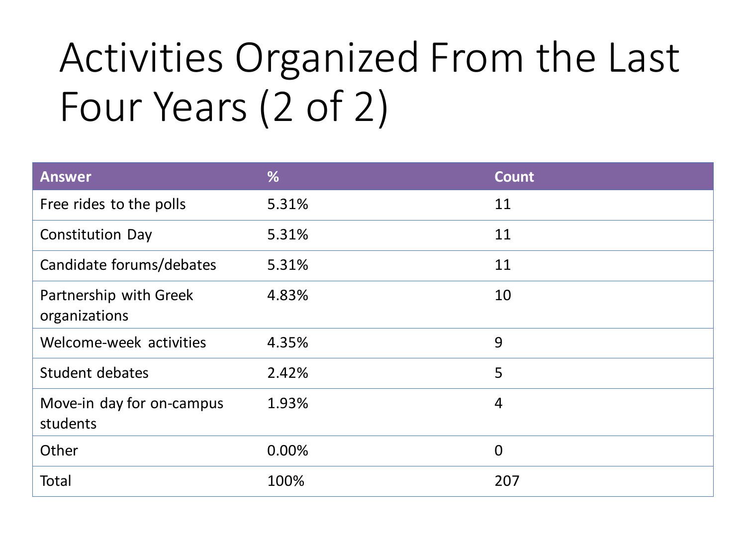# Activities Organized From the Last Four Years (2 of 2)

| <b>Answer</b>                           | %     | <b>Count</b>   |
|-----------------------------------------|-------|----------------|
| Free rides to the polls                 | 5.31% | 11             |
| <b>Constitution Day</b>                 | 5.31% | 11             |
| Candidate forums/debates                | 5.31% | 11             |
| Partnership with Greek<br>organizations | 4.83% | 10             |
| Welcome-week activities                 | 4.35% | 9              |
| Student debates                         | 2.42% | 5              |
| Move-in day for on-campus<br>students   | 1.93% | $\overline{4}$ |
| Other                                   | 0.00% | $\Omega$       |
| Total                                   | 100%  | 207            |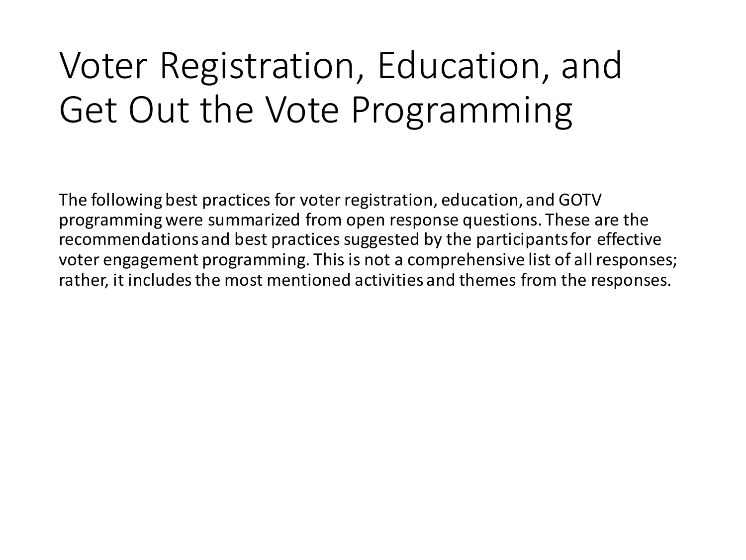#### Voter Registration, Education, and Get Out the Vote Programming

The following best practices for voter registration, education, and GOTV programming were summarized from open response questions. These are the recommendations and best practices suggested by the participants for effective voter engagement programming. This is not a comprehensive list of all responses; rather, it includes the most mentioned activities and themes from the responses.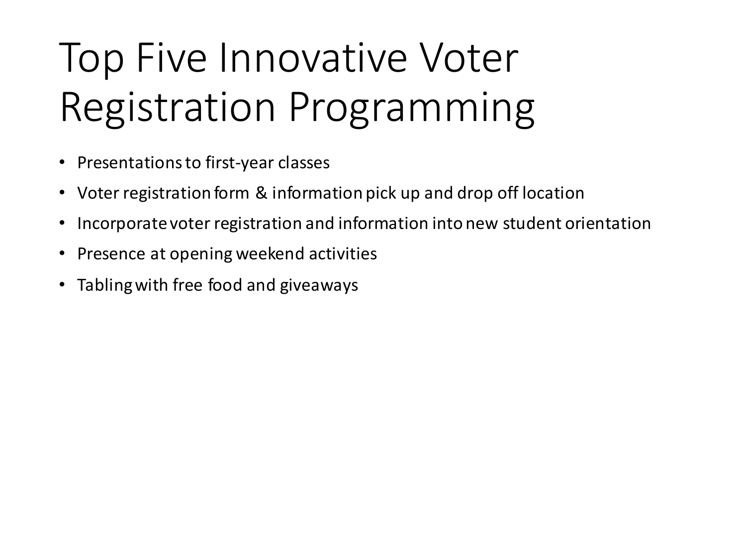# Top Five Innovative Voter Registration Programming

- Presentations to first-year classes
- Voter registration form & information pick up and drop off location
- Incorporate voter registration and information into new student orientation
- Presence at opening weekend activities
- Tabling with free food and giveaways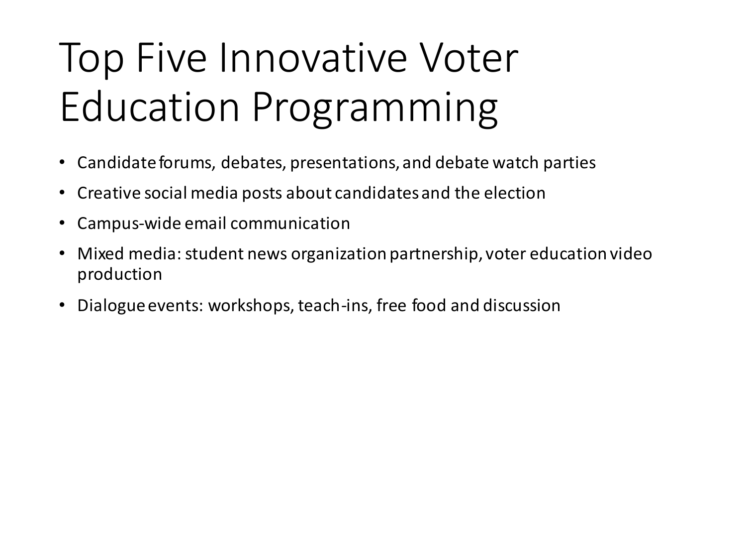# Top Five Innovative Voter Education Programming

- Candidate forums, debates, presentations, and debate watch parties
- Creative social media posts about candidates and the election
- Campus-wide email communication
- Mixed media: student news organization partnership, voter education video production
- Dialogue events: workshops, teach-ins, free food and discussion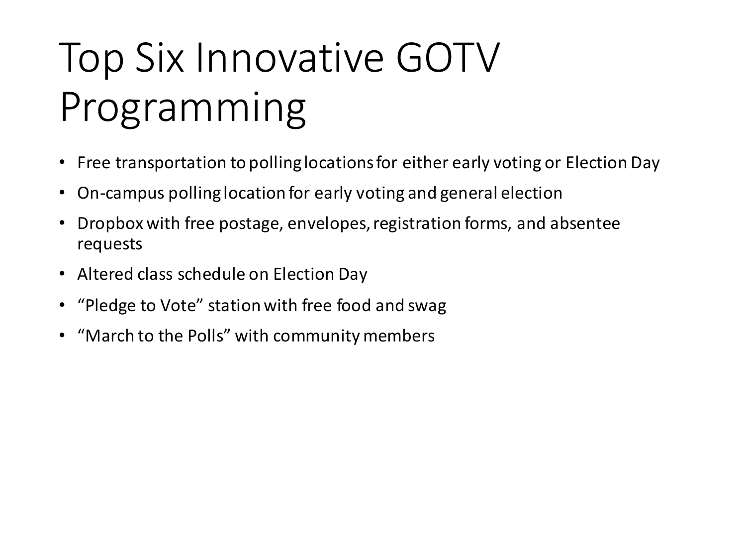# Top Six Innovative GOTV Programming

- Free transportation to polling locations for either early voting or Election Day
- On-campus polling location for early voting and general election
- Dropbox with free postage, envelopes, registration forms, and absentee requests
- Altered class schedule on Election Day
- "Pledge to Vote" station with free food and swag
- "March to the Polls" with community members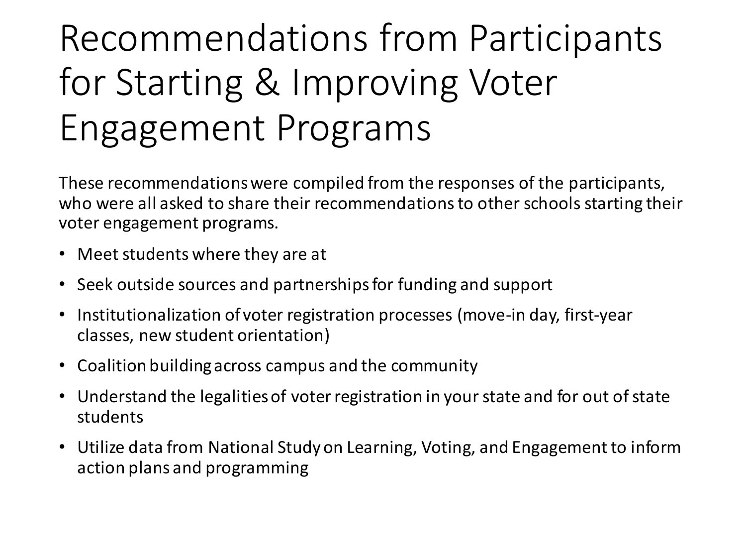#### Recommendations from Participants for Starting & Improving Voter Engagement Programs

These recommendations were compiled from the responses of the participants, who were all asked to share their recommendations to other schools starting their voter engagement programs.

- Meet students where they are at
- Seek outside sources and partnerships for funding and support
- Institutionalization of voter registration processes (move-in day, first-year classes, new student orientation)
- Coalition building across campus and the community
- Understand the legalities of voter registration in your state and for out of state students
- Utilize data from National Study on Learning, Voting, and Engagement to inform action plans and programming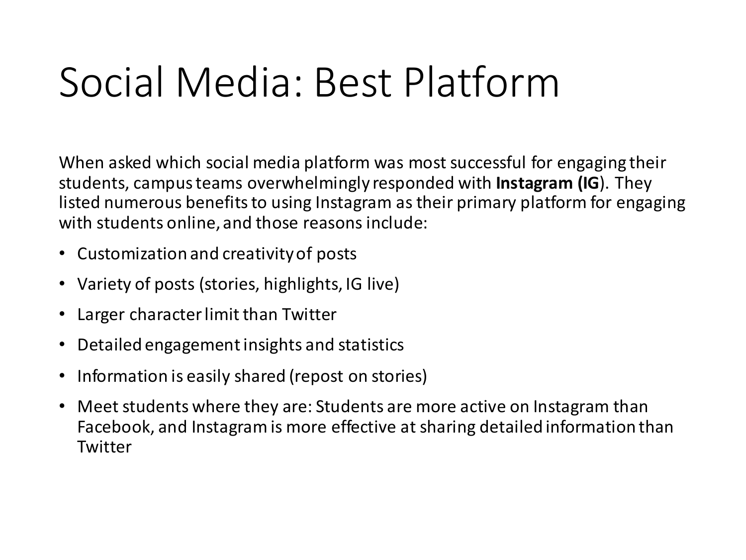# Social Media: Best Platform

When asked which social media platform was most successful for engaging their students, campus teams overwhelmingly responded with **Instagram (IG**). They listed numerous benefits to using Instagram as their primary platform for engaging with students online, and those reasons include:

- Customization and creativity of posts
- Variety of posts (stories, highlights, IG live)
- Larger character limit than Twitter
- Detailed engagement insights and statistics
- Information is easily shared (repost on stories)
- Meet students where they are: Students are more active on Instagram than Facebook, and Instagram is more effective at sharing detailed information than **Twitter**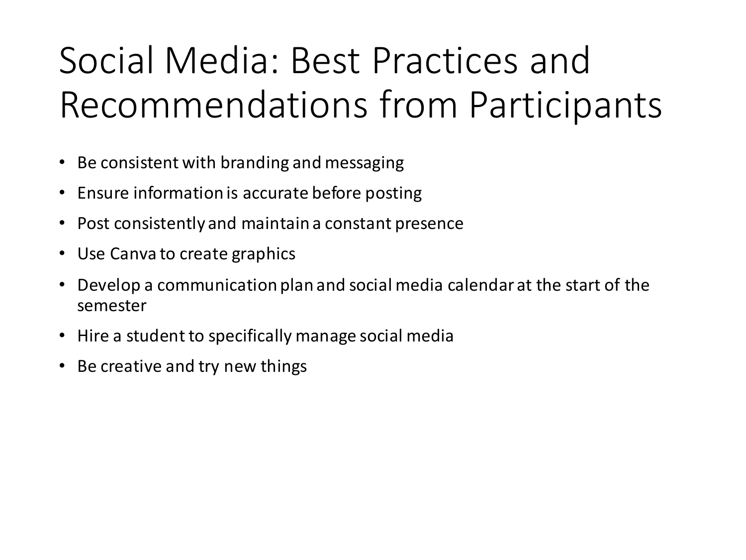#### Social Media: Best Practices and Recommendations from Participants

- Be consistent with branding and messaging
- Ensure information is accurate before posting
- Post consistently and maintain a constant presence
- Use Canva to create graphics
- Develop a communication plan and social media calendar at the start of the semester
- Hire a student to specifically manage social media
- Be creative and try new things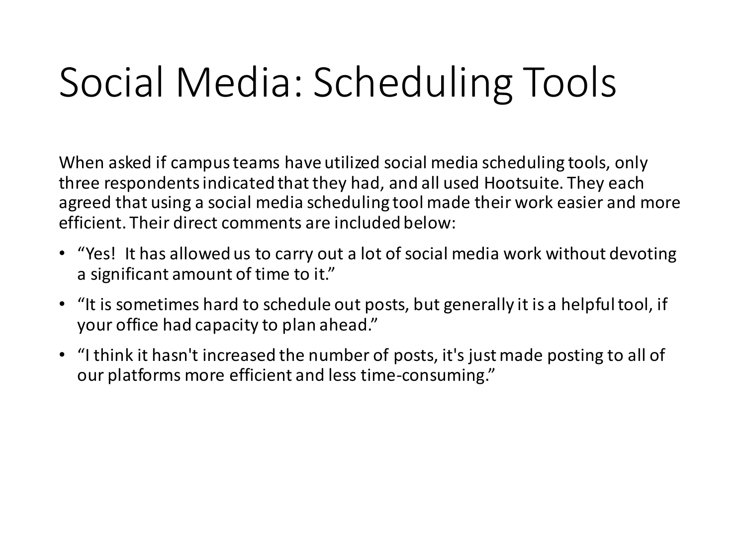# Social Media: Scheduling Tools

When asked if campus teams have utilized social media scheduling tools, only three respondents indicated that they had, and all used Hootsuite. They each agreed that using a social media scheduling tool made their work easier and more efficient. Their direct comments are included below:

- "Yes! It has allowed us to carry out a lot of social media work without devoting a significant amount of time to it."
- "It is sometimes hard to schedule out posts, but generally it is a helpful tool, if your office had capacity to plan ahead."
- "I think it hasn't increased the number of posts, it's just made posting to all of our platforms more efficient and less time-consuming."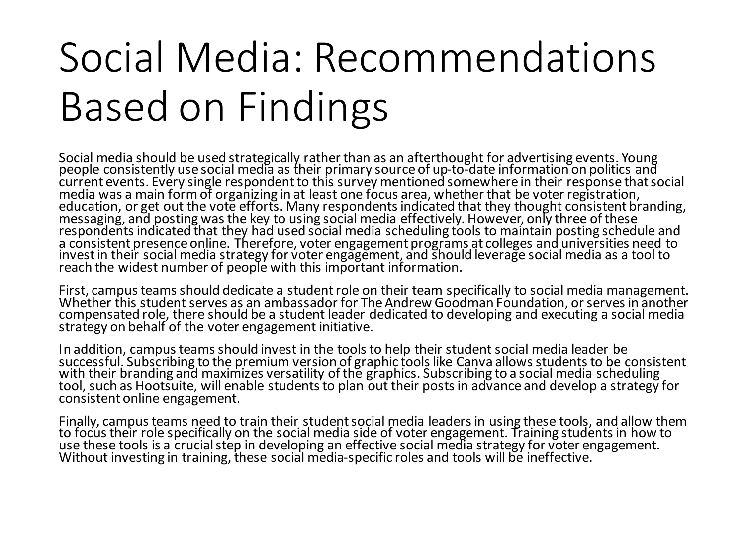# Social Media: Recommendations Based on Findings

Social media should be used strategically rather than as an afterthought for advertising events. Young people consistently use social media as their primary source of up-to-date information on politics and current events. Every single respondent to this survey mentioned somewhere in their response that social media was a main form of organizing in at least one focus area, whether that be voter registration, education, or get out the vote efforts. Many respondents indicated that they thought consistent branding, messaging, and posting was the key to using social media effectively. However, only three of these respondents indicated that they had used social media scheduling tools to maintain posting schedule and a consistent presence online. Therefore, voter engagement programs at colleges and universities need to invest in their social media strategy for voter engagement, and should leverage social media as a tool to reach the widest number of people with this important information.

First, campus teams should dedicate a student role on their team specifically to social media management. Whether this student serves as an ambassador for The Andrew Goodman Foundation, or serves in another compensated role, there should be a student leader dedicated to developing and executing a social media strategy on behalf of the voter engagement initiative.

In addition, campus teams should invest in the tools to help their student social media leader be successful. Subscribing to the premium version of graphic tools like Canva allows students to be consistent with their branding and maximizes versatility of the graphics. Subscribing to a social media scheduling tool, such as Hootsuite, will enable students to plan out their posts in advance and develop a strategy for consistent online engagement.

Finally, campus teams need to train their student social media leaders in using these tools, and allow them to focus their role specifically on the social media side of voter engagement. Training students in how to use these tools is a crucial step in developing an effective social media strategy for voter engagement. Without investing in training, these social media-specific roles and tools will be ineffective.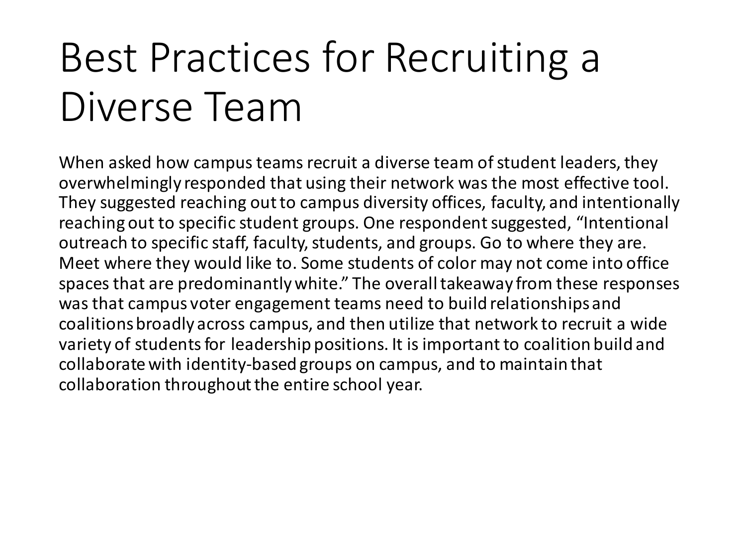# Best Practices for Recruiting a Diverse Team

When asked how campus teams recruit a diverse team of student leaders, they overwhelmingly responded that using their network was the most effective tool. They suggested reaching out to campus diversity offices, faculty, and intentionally reaching out to specific student groups. One respondent suggested, "Intentional outreach to specific staff, faculty, students, and groups. Go to where they are. Meet where they would like to. Some students of color may not come into office spaces that are predominantly white." The overall takeaway from these responses was that campus voter engagement teams need to build relationships and coalitions broadly across campus, and then utilize that network to recruit a wide variety of students for leadership positions. It is important to coalition build and collaborate with identity-based groups on campus, and to maintain that collaboration throughout the entire school year.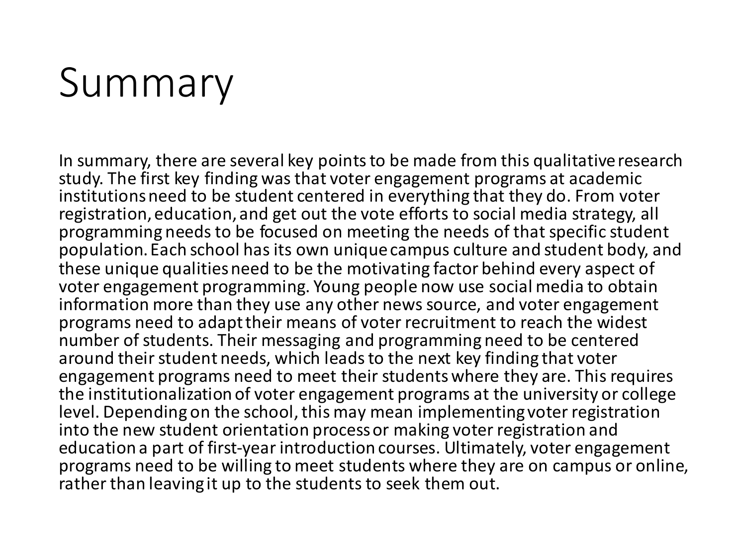## Summary

In summary, there are several key points to be made from this qualitative research study. The first key finding was that voter engagement programs at academic institutions need to be student centered in everything that they do. From voter registration, education, and get out the vote efforts to social media strategy, all programming needs to be focused on meeting the needs of that specific student population. Each school has its own unique campus culture and student body, and these unique qualities need to be the motivating factor behind every aspect of voter engagement programming. Young people now use social media to obtain information more than they use any other news source, and voter engagement programs need to adapt their means of voter recruitment to reach the widest number of students. Their messaging and programming need to be centered around their student needs, which leads to the next key finding that voter engagement programs need to meet their students where they are. This requires the institutionalization of voter engagement programs at the university or college level. Depending on the school, this may mean implementing voter registration into the new student orientation process or making voter registration and education a part of first-year introduction courses. Ultimately, voter engagement programs need to be willing to meet students where they are on campus or online, rather than leaving it up to the students to seek them out.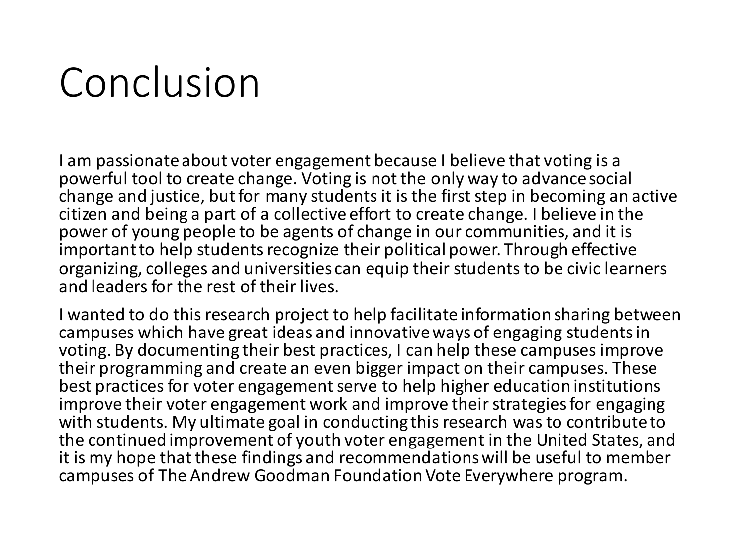## Conclusion

I am passionate about voter engagement because I believe that voting is a powerful tool to create change. Voting is not the only way to advance social change and justice, but for many students it is the first step in becoming an active citizen and being a part of a collective effort to create change. I believe in the power of young people to be agents of change in our communities, and it is important to help students recognize their political power. Through effective organizing, colleges and universities can equip their students to be civic learners and leaders for the rest of their lives.

I wanted to do this research project to help facilitate information sharing between campuses which have great ideas and innovative ways of engaging students in voting. By documenting their best practices, I can help these campuses improve their programming and create an even bigger impact on their campuses. These best practices for voter engagement serve to help higher education institutions improve their voter engagement work and improve their strategies for engaging with students. My ultimate goal in conducting this research was to contribute to the continued improvement of youth voter engagement in the United States, and it is my hope that these findings and recommendations will be useful to member campuses of The Andrew Goodman Foundation Vote Everywhere program.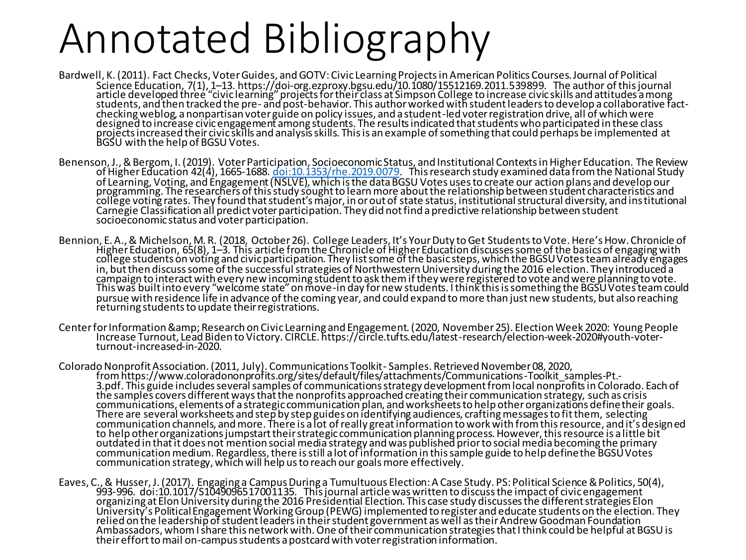## Annotated Bibliography

- Bardwell, K. (2011). Fact Checks, Voter Guides, and GOTV: Civic Learning Projects in American Politics Courses.Journal of Political Science Education, 7(1), 1–13. https://doi-org.ezproxy.bgsu.edu/10.1080/15512169.2011.539899. The author of this journal article developed three "civic learning" projects for their class at Simpson College to increase civic skills and attitudes a mong students, and then tracked the pre- and post-behavior. This author worked with student leaders to develop a collaborative factchecking weblog, a nonpartisan voter guide on policy issues, and a student-led voter registration drive, all of which were designed to increase civic engagement among students. The results indicated that students who participated in these class projects increased their civic skills and analysis skills. This is an example of something that could perhaps be implemented at BGSU with the help of BGSU Votes.
- Benenson, J., & Bergom, I. (2019). Voter Participation, Socioeconomic Status, and Institutional Contexts in Higher Education. The Review of Higher Education 42(4), 1665-1688. [doi:10.1353/rhe.2019.0079.](http://doi.org/10.1353/rhe.2019.0079) This research study examined data from the National Study of Learning, Voting, and Engagement (NSLVE), which is the data BGSU Votes uses to create our action plans and develop our programming. The researchers of this study sought to learn more about the relationship between student characteristics and college voting rates. They found that student's major, in or out of state status, institutional structural diversity, and institutional Carnegie Classification all predict voter participation. They did not find a predictive relationship between student socioeconomic status and voter participation.
- Bennion, E. A., & Michelson, M. R. (2018, October 26). College Leaders, It's Your Duty to Get Students to Vote. Here's How.Chronicle of Higher Education, 65(8), 1–3. This article from the Chronicle of Higher Education discusses some of the basics of engaging with college students on voting and civic participation. They list some of the basic steps, which the BGSU Votes team already engages in, but then discuss some of the successful strategies of Northwestern University during the 2016 election. They introduced a campaign to interact with every new incoming student to ask them if they were registered to vote and were planning to vote. This was built into every "welcome state" on move-in day for new students. I think this is something the BGSU Votes team could pursue with residence life in advance of the coming year, and could expand to more than just new students, but also reaching returning students to update their registrations.
- Center for Information & Research on Civic Learning and Engagement. (2020, November 25). Election Week 2020: Young People Increase Turnout, Lead Biden to Victory. CIRCLE. https://circle.tufts.edu/latest-research/election-week-2020#youth-voterturnout-increased-in-2020.
- Colorado Nonprofit Association. (2011, July). Communications Toolkit Samples. Retrieved November 08, 2020, fromhttps://www.coloradononprofits.org/sites/default/files/attachments/Communications-Toolkit\_samples-Pt.- 3.pdf. This guide includes several samples of communications strategy development from local nonprofits in Colorado. Each of the samples covers different ways that the nonprofits approached creating their communication strategy, such as crisis communications, elements of a strategic communication plan, and worksheets to help other organizations define their goals. There are several worksheets and step by step guides on identifying audiences, crafting messages to fit them, selecting communication channels, and more. There is a lot of really great information to work with from this resource, and it's designed to help other organizations jumpstart their strategic communication planning process. However, this resource is a little bit outdated in that it does not mention social media strategy and was published prior to social media becoming the primary communication medium. Regardless, there is still a lot of information in this sample guide to help define the BGSU Votes communication strategy, which will help us to reach our goals more effectively.
- Eaves, C., & Husser, J. (2017). Engaging a Campus During a Tumultuous Election: A Case Study. PS: Political Science & Politics, 50(4), 993-996. doi:10.1017/S1049096517001135. This journal article was written to discuss the impact of civic engagement organizing at Elon University during the 2016 Presidential Election. This case study discusses the different strategies Elon University's Political Engagement Working Group (PEWG) implemented to register and educate students on the election. They relied on the leadership of student leaders in their student government as well as their Andrew Goodman Foundation Ambassadors, whom I share this network with. One of their communication strategies that I think could be helpful at BGSU is their effort to mail on-campus students a postcard with voter registration information.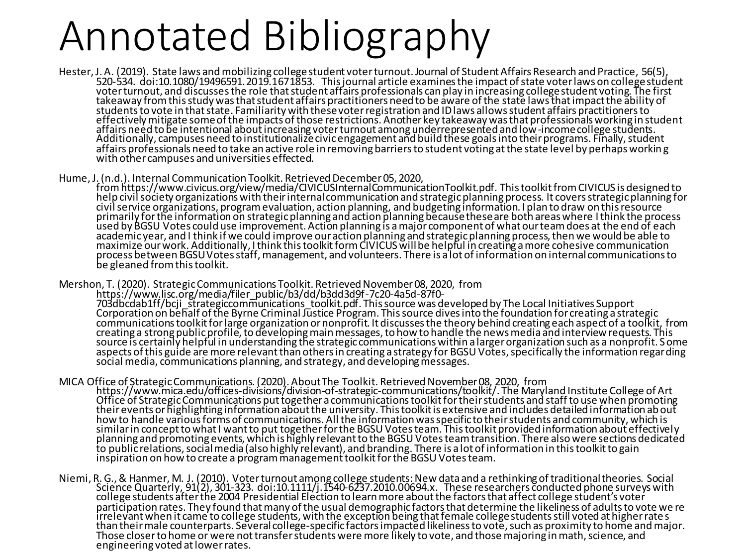## Annotated Bibliography

- Hester, J. A. (2019). State laws and mobilizing college student voter turnout.Journal of Student Affairs Research and Practice, 56(5), 520-534. doi:10.1080/19496591.2019.1671853. This journal article examines the impact of state voter laws on college student voterturnout, and discusses the role that student affairs professionals can play in increasing college student voting. The first takeaway from this study was that student affairs practitioners need to be aware of the state laws that impact the ability of students to vote in that state. Familiarity with these voter registration and ID laws allows student affairs practitioners to effectively mitigate some of the impacts of those restrictions. Another key takeaway was that professionals working in student affairs need to be intentional about increasing voter turnout among underrepresented and low-income college students. Additionally, campuses need to institutionalize civic engagement and build these goals into their programs. Finally, student affairs professionals need to take an active role in removing barriers to student voting at the state level by perhaps workin g with other campuses and universities effected.
- Hume, J. (n.d.). Internal Communication Toolkit. Retrieved December 05, 2020,

fromhttps://www.civicus.org/view/media/CIVICUSInternalCommunicationToolkit.pdf. This toolkit from CIVICUS is designed to help civil society organizations with their internal communication and strategic planning process. It covers strategic planning for civil service organizations, program evaluation, action planning, and budgeting information. I plan to draw on this resource primarily for the information on strategic planning and action planning because these are both areas where I think the process used by BGSU Votes could use improvement. Action planning is a major component of what our team does at the end of each academic year, and I think if we could improve our action planning and strategic planning process, then we would be able to maximize our work. Additionally, I think this toolkit form CIVICUS will be helpful in creating a more cohesive communication process between BGSU Votes staff, management, and volunteers. There is a lot of information on internal communications to be gleaned from this toolkit.

Mershon, T. (2020). Strategic Communications Toolkit. Retrieved November 08, 2020, from https://www.lisc.org/media/filer\_public/b3/dd/b3dd3d9f-7c20-4a5d-87f0- 703dbcdab1ff/bcji\_strategiccommunications\_toolkit.pdf. This source was developed by The Local Initiatives Support Corporation on behalf of the Byrne Criminal Justice Program. This source dives into the foundation for creating a strategic communications toolkit for large organization or nonprofit. It discusses the theory behind creating each aspect of a toolkit, from creating a strong public profile, to developing main messages, to how to handle the news media and interview requests. This source is certainly helpful in understanding the strategic communications within a larger organization such as a nonprofit. Some aspects of this guide are more relevant than others in creating a strategy for BGSU Votes, specifically the information regarding social media, communications planning, and strategy, and developing messages.

- MICA Office of Strategic Communications. (2020). AboutThe Toolkit. Retrieved November 08, 2020, from https://www.mica.edu/offices-divisions/division-of-strategic-communications/toolkit/. The Maryland Institute College of Art Office of Strategic Communications put together a communications toolkit for their students and staff to use when promoting their events or highlighting information about the university. This toolkit is extensive and includes detailed information about how to handle various forms of communications. All the information was specific to their students and community, which is similar in concept to what I want to put together for the BGSU Votes team. This toolkit provided information about effectively planning and promoting events, which is highly relevant to the BGSU Votes team transition. There also were sections dedicated to public relations, social media (also highly relevant), and branding. There is a lot of information in this toolkit to gain inspiration on how to create a program management toolkit for the BGSU Votes team.
- Niemi, R. G., & Hanmer, M. J. (2010). Voter turnout among college students: New data and a rethinking of traditional theories. Social Science Quarterly, 91(2), 301-323. doi:10.1111/j.1540-6237.2010.00694.x. These researchers conducted phone surveys with college students after the 2004 Presidential Election to learn more about the factors that affect college student's voter participation rates. They found that many of the usual demographic factors that determine the likeliness of adults to vote we re irrelevant when it came to college students, with the exception being that female college students still voted at higher rate s than their male counterparts. Several college-specific factors impacted likeliness to vote, such as proximity to home and major. Those closer to home or were not transfer students were more likely to vote, and those majoring in math, science, and engineering voted at lower rates.